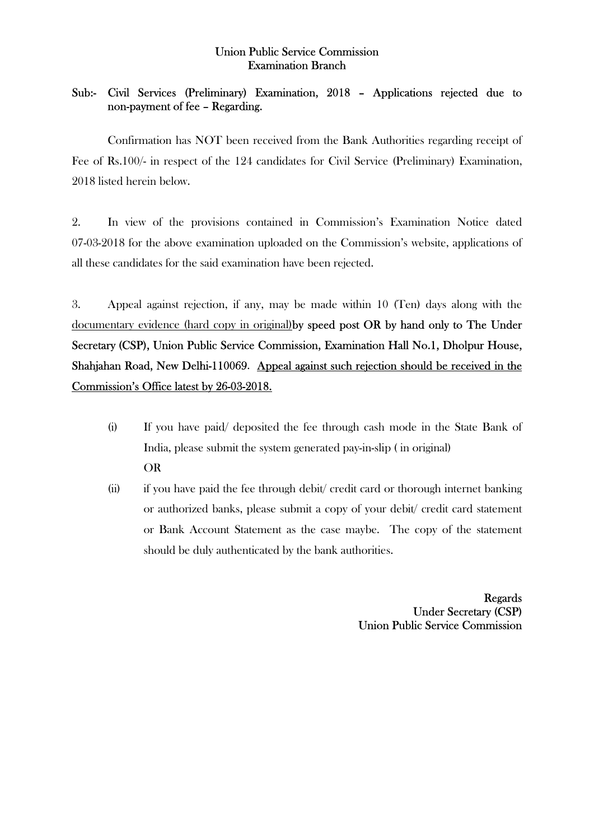## Union Public Service Commission Examination Branch

## Sub:- Civil Services (Preliminary) Examination, 2018 – Applications rejected due to non-payment of fee – Regarding.

 Confirmation has NOT been received from the Bank Authorities regarding receipt of Fee of Rs.100/- in respect of the 124 candidates for Civil Service (Preliminary) Examination, 2018 listed herein below.

2. In view of the provisions contained in Commission's Examination Notice dated 07-03-2018 for the above examination uploaded on the Commission's website, applications of all these candidates for the said examination have been rejected.

3. Appeal against rejection, if any, may be made within 10 (Ten) days along with the documentary evidence (hard copy in original)by speed post OR by hand only to The Under Secretary (CSP), Union Public Service Commission, Examination Hall No.1, Dholpur House, Shahjahan Road, New Delhi-110069. Appeal against such rejection should be received in the Commission's Office latest by 26-03-2018.

- (i) If you have paid/ deposited the fee through cash mode in the State Bank of India, please submit the system generated pay-in-slip ( in original) OR
- (ii) if you have paid the fee through debit/ credit card or thorough internet banking or authorized banks, please submit a copy of your debit/ credit card statement or Bank Account Statement as the case maybe. The copy of the statement should be duly authenticated by the bank authorities.

Regards Under Secretary (CSP) Union Public Service Commission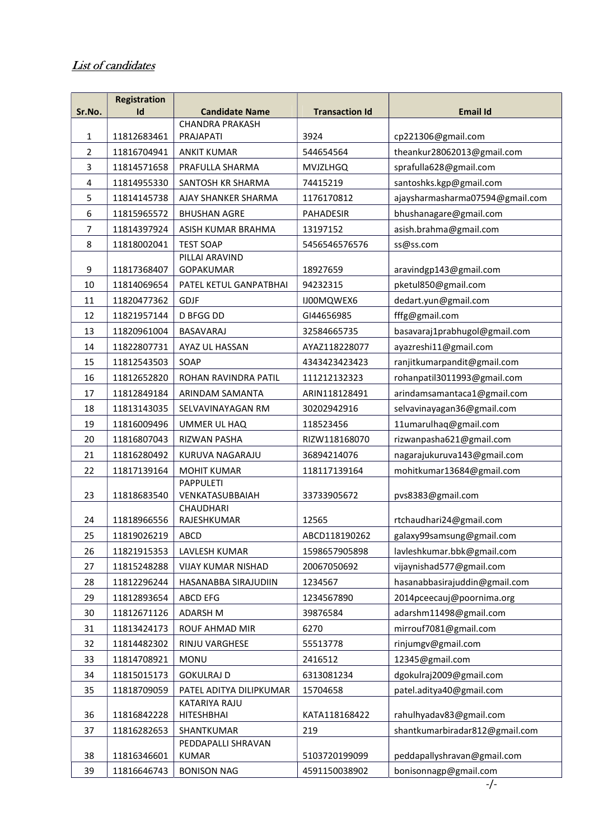## List of candidates

|                | <b>Registration</b> |                                     |                       |                                 |
|----------------|---------------------|-------------------------------------|-----------------------|---------------------------------|
| Sr.No.         | Id                  | <b>Candidate Name</b>               | <b>Transaction Id</b> | <b>Email Id</b>                 |
| 1              | 11812683461         | <b>CHANDRA PRAKASH</b><br>PRAJAPATI | 3924                  | cp221306@gmail.com              |
| $\overline{2}$ | 11816704941         | <b>ANKIT KUMAR</b>                  | 544654564             | theankur28062013@gmail.com      |
| 3              | 11814571658         | PRAFULLA SHARMA                     | <b>MVJZLHGQ</b>       | sprafulla628@gmail.com          |
| 4              | 11814955330         | SANTOSH KR SHARMA                   | 74415219              | santoshks.kgp@gmail.com         |
| 5              | 11814145738         | AJAY SHANKER SHARMA                 | 1176170812            | ajaysharmasharma07594@gmail.com |
| 6              | 11815965572         | <b>BHUSHAN AGRE</b>                 | PAHADESIR             | bhushanagare@gmail.com          |
| $\overline{7}$ | 11814397924         | ASISH KUMAR BRAHMA                  | 13197152              | asish.brahma@gmail.com          |
| 8              | 11818002041         | <b>TEST SOAP</b>                    | 5456546576576         | ss@ss.com                       |
|                |                     | PILLAI ARAVIND                      |                       |                                 |
| 9              | 11817368407         | GOPAKUMAR                           | 18927659              | aravindgp143@gmail.com          |
| 10             | 11814069654         | PATEL KETUL GANPATBHAI              | 94232315              | pketul850@gmail.com             |
| 11             | 11820477362         | <b>GDJF</b>                         | IJ00MQWEX6            | dedart.yun@gmail.com            |
| 12             | 11821957144         | <b>D BFGG DD</b>                    | GI44656985            | fffg@gmail.com                  |
| 13             | 11820961004         | BASAVARAJ                           | 32584665735           | basavaraj1prabhugol@gmail.com   |
| 14             | 11822807731         | AYAZ UL HASSAN                      | AYAZ118228077         | ayazreshi11@gmail.com           |
| 15             | 11812543503         | SOAP                                | 4343423423423         | ranjitkumarpandit@gmail.com     |
| 16             | 11812652820         | ROHAN RAVINDRA PATIL                | 111212132323          | rohanpatil3011993@gmail.com     |
| 17             | 11812849184         | ARINDAM SAMANTA                     | ARIN118128491         | arindamsamantaca1@gmail.com     |
| 18             | 11813143035         | SELVAVINAYAGAN RM                   | 30202942916           | selvavinayagan36@gmail.com      |
| 19             | 11816009496         | UMMER UL HAQ                        | 118523456             | 11umarulhaq@gmail.com           |
| 20             | 11816807043         | RIZWAN PASHA                        | RIZW118168070         | rizwanpasha621@gmail.com        |
| 21             | 11816280492         | KURUVA NAGARAJU                     | 36894214076           | nagarajukuruva143@gmail.com     |
| 22             | 11817139164         | <b>MOHIT KUMAR</b>                  | 118117139164          | mohitkumar13684@gmail.com       |
|                |                     | <b>PAPPULETI</b>                    |                       |                                 |
| 23             | 11818683540         | VENKATASUBBAIAH                     | 33733905672           | pvs8383@gmail.com               |
| 24             | 11818966556         | CHAUDHARI<br>RAJESHKUMAR            | 12565                 | rtchaudhari24@gmail.com         |
| 25             | 11819026219         | ABCD                                | ABCD118190262         | galaxy99samsung@gmail.com       |
| 26             | 11821915353         | LAVLESH KUMAR                       | 1598657905898         | lavleshkumar.bbk@gmail.com      |
| 27             | 11815248288         | <b>VIJAY KUMAR NISHAD</b>           | 20067050692           | vijaynishad577@gmail.com        |
| 28             | 11812296244         | HASANABBA SIRAJUDIIN                | 1234567               | hasanabbasirajuddin@gmail.com   |
| 29             | 11812893654         | ABCD EFG                            | 1234567890            | 2014pceecauj@poornima.org       |
| 30             | 11812671126         | <b>ADARSH M</b>                     | 39876584              | adarshm11498@gmail.com          |
| 31             | 11813424173         | ROUF AHMAD MIR                      | 6270                  | mirrouf7081@gmail.com           |
| 32             | 11814482302         | RINJU VARGHESE                      | 55513778              | rinjumgv@gmail.com              |
| 33             | 11814708921         | <b>MONU</b>                         | 2416512               | 12345@gmail.com                 |
| 34             | 11815015173         | <b>GOKULRAJ D</b>                   | 6313081234            | dgokulraj2009@gmail.com         |
| 35             | 11818709059         | PATEL ADITYA DILIPKUMAR             | 15704658              | patel.aditya40@gmail.com        |
| 36             | 11816842228         | <b>KATARIYA RAJU</b><br>HITESHBHAI  | KATA118168422         | rahulhyadav83@gmail.com         |
| 37             | 11816282653         | SHANTKUMAR                          | 219                   | shantkumarbiradar812@gmail.com  |
|                |                     | PEDDAPALLI SHRAVAN                  |                       |                                 |
| 38             | 11816346601         | <b>KUMAR</b>                        | 5103720199099         | peddapallyshravan@gmail.com     |
| 39             | 11816646743         | <b>BONISON NAG</b>                  | 4591150038902         | bonisonnagp@gmail.com           |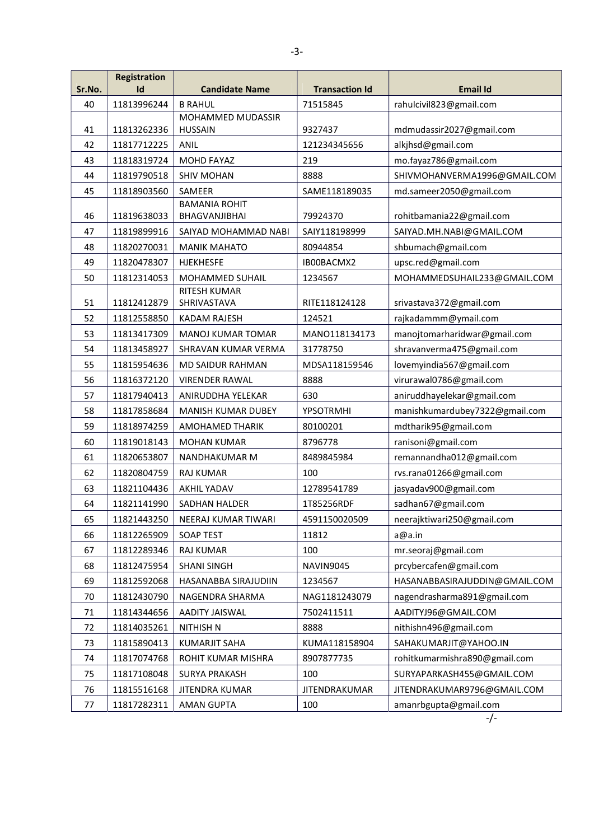| Sr.No. | <b>Registration</b><br>Id | <b>Candidate Name</b>                 | <b>Transaction Id</b> | <b>Email Id</b>                |
|--------|---------------------------|---------------------------------------|-----------------------|--------------------------------|
| 40     | 11813996244               | <b>B RAHUL</b>                        | 71515845              | rahulcivil823@gmail.com        |
|        |                           | MOHAMMED MUDASSIR                     |                       |                                |
| 41     | 11813262336               | <b>HUSSAIN</b>                        | 9327437               | mdmudassir2027@gmail.com       |
| 42     | 11817712225               | ANIL                                  | 121234345656          | alkjhsd@gmail.com              |
| 43     | 11818319724               | <b>MOHD FAYAZ</b>                     | 219                   | mo.fayaz786@gmail.com          |
| 44     | 11819790518               | <b>SHIV MOHAN</b>                     | 8888                  | SHIVMOHANVERMA1996@GMAIL.COM   |
| 45     | 11818903560               | SAMEER                                | SAME118189035         | md.sameer2050@gmail.com        |
| 46     | 11819638033               | <b>BAMANIA ROHIT</b><br>BHAGVANJIBHAI | 79924370              | rohitbamania22@gmail.com       |
| 47     | 11819899916               | SAIYAD MOHAMMAD NABI                  | SAIY118198999         | SAIYAD.MH.NABI@GMAIL.COM       |
| 48     | 11820270031               | <b>MANIK MAHATO</b>                   | 80944854              | shbumach@gmail.com             |
| 49     | 11820478307               | <b>HJEKHESFE</b>                      | IB00BACMX2            | upsc.red@gmail.com             |
| 50     | 11812314053               | MOHAMMED SUHAIL                       | 1234567               | MOHAMMEDSUHAIL233@GMAIL.COM    |
| 51     | 11812412879               | RITESH KUMAR<br>SHRIVASTAVA           | RITE118124128         | srivastava372@gmail.com        |
| 52     | 11812558850               | <b>KADAM RAJESH</b>                   | 124521                | rajkadammm@ymail.com           |
| 53     | 11813417309               | <b>MANOJ KUMAR TOMAR</b>              | MANO118134173         | manojtomarharidwar@gmail.com   |
| 54     | 11813458927               | SHRAVAN KUMAR VERMA                   | 31778750              | shravanverma475@gmail.com      |
| 55     | 11815954636               | <b>MD SAIDUR RAHMAN</b>               | MDSA118159546         | lovemyindia567@gmail.com       |
| 56     | 11816372120               | <b>VIRENDER RAWAL</b>                 | 8888                  | virurawal0786@gmail.com        |
| 57     | 11817940413               | ANIRUDDHA YELEKAR                     | 630                   | aniruddhayelekar@gmail.com     |
| 58     | 11817858684               | MANISH KUMAR DUBEY                    | YPSOTRMHI             | manishkumardubey7322@gmail.com |
| 59     | 11818974259               | AMOHAMED THARIK                       | 80100201              | mdtharik95@gmail.com           |
| 60     | 11819018143               | <b>MOHAN KUMAR</b>                    | 8796778               | ranisoni@gmail.com             |
| 61     | 11820653807               | NANDHAKUMAR M                         | 8489845984            | remannandha012@gmail.com       |
| 62     | 11820804759               | <b>RAJ KUMAR</b>                      | 100                   | rvs.rana01266@gmail.com        |
| 63     | 11821104436               | <b>AKHIL YADAV</b>                    | 12789541789           | jasyadav900@gmail.com          |
| 64     | 11821141990               | SADHAN HALDER                         | 1T85256RDF            | sadhan67@gmail.com             |
| 65     | 11821443250               | NEERAJ KUMAR TIWARI                   | 4591150020509         | neerajktiwari250@gmail.com     |
| 66     | 11812265909               | <b>SOAP TEST</b>                      | 11812                 | a@a.in                         |
| 67     | 11812289346               | RAJ KUMAR                             | 100                   | mr.seoraj@gmail.com            |
| 68     | 11812475954               | <b>SHANI SINGH</b>                    | NAVIN9045             | prcybercafen@gmail.com         |
| 69     | 11812592068               | HASANABBA SIRAJUDIIN                  | 1234567               | HASANABBASIRAJUDDIN@GMAIL.COM  |
| 70     | 11812430790               | NAGENDRA SHARMA                       | NAG1181243079         | nagendrasharma891@gmail.com    |
| 71     | 11814344656               | AADITY JAISWAL                        | 7502411511            | AADITYJ96@GMAIL.COM            |
| 72     | 11814035261               | <b>NITHISH N</b>                      | 8888                  | nithishn496@gmail.com          |
| 73     | 11815890413               | <b>KUMARJIT SAHA</b>                  | KUMA118158904         | SAHAKUMARJIT@YAHOO.IN          |
| 74     | 11817074768               | ROHIT KUMAR MISHRA                    | 8907877735            | rohitkumarmishra890@gmail.com  |
| 75     | 11817108048               | <b>SURYA PRAKASH</b>                  | 100                   | SURYAPARKASH455@GMAIL.COM      |
| 76     | 11815516168               | JITENDRA KUMAR                        | JITENDRAKUMAR         | JITENDRAKUMAR9796@GMAIL.COM    |
| 77     | 11817282311               | <b>AMAN GUPTA</b>                     | 100                   | amanrbgupta@gmail.com          |

-/-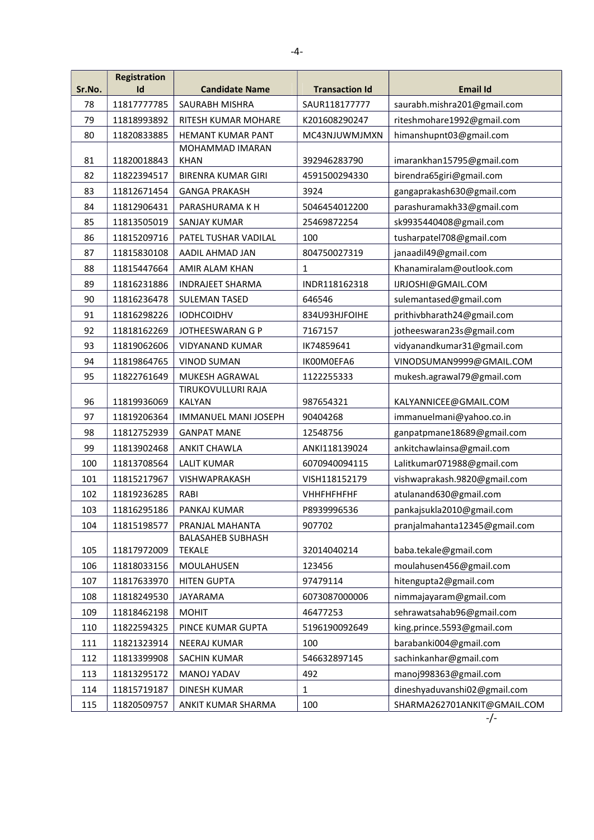| Sr.No. | <b>Registration</b><br>Id | <b>Candidate Name</b>                     | <b>Transaction Id</b> | <b>Email Id</b>               |
|--------|---------------------------|-------------------------------------------|-----------------------|-------------------------------|
| 78     | 11817777785               | SAURABH MISHRA                            | SAUR118177777         | saurabh.mishra201@gmail.com   |
| 79     | 11818993892               | RITESH KUMAR MOHARE                       | K201608290247         | riteshmohare1992@gmail.com    |
| 80     | 11820833885               | HEMANT KUMAR PANT                         | MC43NJUWMJMXN         | himanshupnt03@gmail.com       |
| 81     | 11820018843               | MOHAMMAD IMARAN<br><b>KHAN</b>            | 392946283790          | imarankhan15795@gmail.com     |
| 82     | 11822394517               | <b>BIRENRA KUMAR GIRI</b>                 | 4591500294330         | birendra65giri@gmail.com      |
| 83     | 11812671454               | <b>GANGA PRAKASH</b>                      | 3924                  | gangaprakash630@gmail.com     |
| 84     | 11812906431               | PARASHURAMA K H                           | 5046454012200         | parashuramakh33@gmail.com     |
| 85     | 11813505019               | <b>SANJAY KUMAR</b>                       | 25469872254           | sk9935440408@gmail.com        |
| 86     | 11815209716               | PATEL TUSHAR VADILAL                      | 100                   | tusharpatel708@gmail.com      |
| 87     | 11815830108               | AADIL AHMAD JAN                           | 804750027319          | janaadil49@gmail.com          |
| 88     | 11815447664               | AMIR ALAM KHAN                            | 1                     | Khanamiralam@outlook.com      |
| 89     | 11816231886               | <b>INDRAJEET SHARMA</b>                   | INDR118162318         | IJRJOSHI@GMAIL.COM            |
| 90     | 11816236478               | <b>SULEMAN TASED</b>                      | 646546                | sulemantased@gmail.com        |
| 91     | 11816298226               | <b>IODHCOIDHV</b>                         | 834U93HJFOIHE         | prithivbharath24@gmail.com    |
| 92     | 11818162269               | JOTHEESWARAN G P                          | 7167157               | jotheeswaran23s@gmail.com     |
| 93     | 11819062606               | <b>VIDYANAND KUMAR</b>                    | IK74859641            | vidyanandkumar31@gmail.com    |
| 94     | 11819864765               | <b>VINOD SUMAN</b>                        | IK00M0EFA6            | VINODSUMAN9999@GMAIL.COM      |
| 95     | 11822761649               | MUKESH AGRAWAL                            | 1122255333            | mukesh.agrawal79@gmail.com    |
| 96     | 11819936069               | TIRUKOVULLURI RAJA<br><b>KALYAN</b>       | 987654321             | KALYANNICEE@GMAIL.COM         |
| 97     | 11819206364               | <b>IMMANUEL MANI JOSEPH</b>               | 90404268              | immanuelmani@yahoo.co.in      |
| 98     | 11812752939               | <b>GANPAT MANE</b>                        | 12548756              | ganpatpmane18689@gmail.com    |
| 99     | 11813902468               | ANKIT CHAWLA                              | ANKI118139024         | ankitchawlainsa@gmail.com     |
| 100    | 11813708564               | <b>LALIT KUMAR</b>                        | 6070940094115         | Lalitkumar071988@gmail.com    |
| 101    | 11815217967               | VISHWAPRAKASH                             | VISH118152179         | vishwaprakash.9820@gmail.com  |
| 102    | 11819236285               | RABI                                      | <b>VHHFHFHFHF</b>     | atulanand630@gmail.com        |
| 103    | 11816295186               | <b>PANKAJ KUMAR</b>                       | P8939996536           | pankajsukla2010@gmail.com     |
| 104    | 11815198577               | PRANJAL MAHANTA                           | 907702                | pranjalmahanta12345@gmail.com |
| 105    | 11817972009               | <b>BALASAHEB SUBHASH</b><br><b>TEKALE</b> | 32014040214           | baba.tekale@gmail.com         |
| 106    | 11818033156               | MOULAHUSEN                                | 123456                | moulahusen456@gmail.com       |
| 107    | 11817633970               | <b>HITEN GUPTA</b>                        | 97479114              | hitengupta2@gmail.com         |
| 108    | 11818249530               | JAYARAMA                                  | 6073087000006         | nimmajayaram@gmail.com        |
| 109    | 11818462198               | <b>MOHIT</b>                              | 46477253              | sehrawatsahab96@gmail.com     |
| 110    | 11822594325               | PINCE KUMAR GUPTA                         | 5196190092649         | king.prince.5593@gmail.com    |
| 111    | 11821323914               | NEERAJ KUMAR                              | 100                   | barabanki004@gmail.com        |
| 112    | 11813399908               | SACHIN KUMAR                              | 546632897145          | sachinkanhar@gmail.com        |
| 113    | 11813295172               | MANOJ YADAV                               | 492                   | manoj998363@gmail.com         |
| 114    | 11815719187               | <b>DINESH KUMAR</b>                       | 1                     | dineshyaduvanshi02@gmail.com  |
| 115    | 11820509757               | ANKIT KUMAR SHARMA                        | 100                   | SHARMA262701ANKIT@GMAIL.COM   |

 $\frac{1}{\sqrt{2}}$